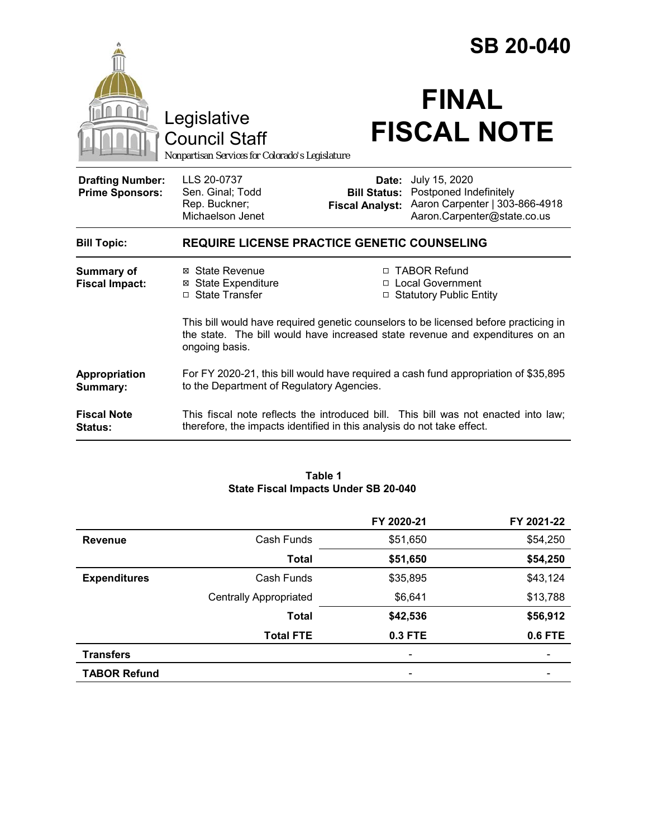|                                                   |                                                                                                                                                                                         | <b>SB 20-040</b>                |                                                                                                                              |
|---------------------------------------------------|-----------------------------------------------------------------------------------------------------------------------------------------------------------------------------------------|---------------------------------|------------------------------------------------------------------------------------------------------------------------------|
|                                                   | Legislative<br><b>Council Staff</b><br>Nonpartisan Services for Colorado's Legislature                                                                                                  |                                 | <b>FINAL</b><br><b>FISCAL NOTE</b>                                                                                           |
| <b>Drafting Number:</b><br><b>Prime Sponsors:</b> | LLS 20-0737<br>Sen. Ginal; Todd<br>Rep. Buckner;<br>Michaelson Jenet                                                                                                                    | Date:<br><b>Fiscal Analyst:</b> | July 15, 2020<br><b>Bill Status: Postponed Indefinitely</b><br>Aaron Carpenter   303-866-4918<br>Aaron.Carpenter@state.co.us |
| <b>Bill Topic:</b>                                | <b>REQUIRE LICENSE PRACTICE GENETIC COUNSELING</b>                                                                                                                                      |                                 |                                                                                                                              |
| Summary of<br><b>Fiscal Impact:</b>               | ⊠ State Revenue<br><b>⊠</b> State Expenditure<br>□ State Transfer                                                                                                                       |                                 | □ TABOR Refund<br>□ Local Government<br>□ Statutory Public Entity                                                            |
|                                                   | This bill would have required genetic counselors to be licensed before practicing in<br>the state. The bill would have increased state revenue and expenditures on an<br>ongoing basis. |                                 |                                                                                                                              |
| Appropriation<br>Summary:                         | For FY 2020-21, this bill would have required a cash fund appropriation of \$35,895<br>to the Department of Regulatory Agencies.                                                        |                                 |                                                                                                                              |
| <b>Fiscal Note</b><br><b>Status:</b>              | This fiscal note reflects the introduced bill. This bill was not enacted into law;<br>therefore, the impacts identified in this analysis do not take effect.                            |                                 |                                                                                                                              |

#### **Table 1 State Fiscal Impacts Under SB 20-040**

|                     |                               | FY 2020-21 | FY 2021-22     |
|---------------------|-------------------------------|------------|----------------|
| <b>Revenue</b>      | Cash Funds                    | \$51,650   | \$54,250       |
|                     | <b>Total</b>                  | \$51,650   | \$54,250       |
| <b>Expenditures</b> | Cash Funds                    | \$35,895   | \$43,124       |
|                     | <b>Centrally Appropriated</b> | \$6,641    | \$13,788       |
|                     | <b>Total</b>                  | \$42,536   | \$56,912       |
|                     | <b>Total FTE</b>              | 0.3 FTE    | <b>0.6 FTE</b> |
| <b>Transfers</b>    |                               |            |                |
| <b>TABOR Refund</b> |                               | -          |                |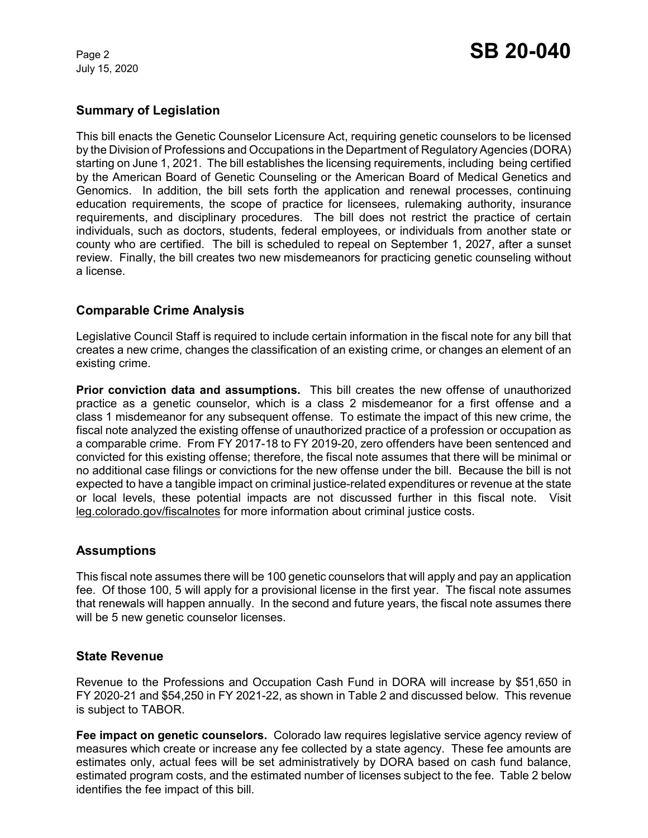July 15, 2020

## **Summary of Legislation**

This bill enacts the Genetic Counselor Licensure Act, requiring genetic counselors to be licensed by the Division of Professions and Occupations in the Department of Regulatory Agencies (DORA) starting on June 1, 2021. The bill establishes the licensing requirements, including being certified by the American Board of Genetic Counseling or the American Board of Medical Genetics and Genomics. In addition, the bill sets forth the application and renewal processes, continuing education requirements, the scope of practice for licensees, rulemaking authority, insurance requirements, and disciplinary procedures. The bill does not restrict the practice of certain individuals, such as doctors, students, federal employees, or individuals from another state or county who are certified. The bill is scheduled to repeal on September 1, 2027, after a sunset review. Finally, the bill creates two new misdemeanors for practicing genetic counseling without a license.

# **Comparable Crime Analysis**

Legislative Council Staff is required to include certain information in the fiscal note for any bill that creates a new crime, changes the classification of an existing crime, or changes an element of an existing crime.

**Prior conviction data and assumptions.** This bill creates the new offense of unauthorized practice as a genetic counselor, which is a class 2 misdemeanor for a first offense and a class 1 misdemeanor for any subsequent offense. To estimate the impact of this new crime, the fiscal note analyzed the existing offense of unauthorized practice of a profession or occupation as a comparable crime. From FY 2017-18 to FY 2019-20, zero offenders have been sentenced and convicted for this existing offense; therefore, the fiscal note assumes that there will be minimal or no additional case filings or convictions for the new offense under the bill. Because the bill is not expected to have a tangible impact on criminal justice-related expenditures or revenue at the state or local levels, these potential impacts are not discussed further in this fiscal note.Visit leg.colorado.gov/fiscalnotes for more information about criminal justice costs.

### **Assumptions**

This fiscal note assumes there will be 100 genetic counselors that will apply and pay an application fee. Of those 100, 5 will apply for a provisional license in the first year. The fiscal note assumes that renewals will happen annually. In the second and future years, the fiscal note assumes there will be 5 new genetic counselor licenses.

### **State Revenue**

Revenue to the Professions and Occupation Cash Fund in DORA will increase by \$51,650 in FY 2020-21 and \$54,250 in FY 2021-22, as shown in Table 2 and discussed below. This revenue is subject to TABOR.

**Fee impact on genetic counselors.** Colorado law requires legislative service agency review of measures which create or increase any fee collected by a state agency. These fee amounts are estimates only, actual fees will be set administratively by DORA based on cash fund balance, estimated program costs, and the estimated number of licenses subject to the fee. Table 2 below identifies the fee impact of this bill.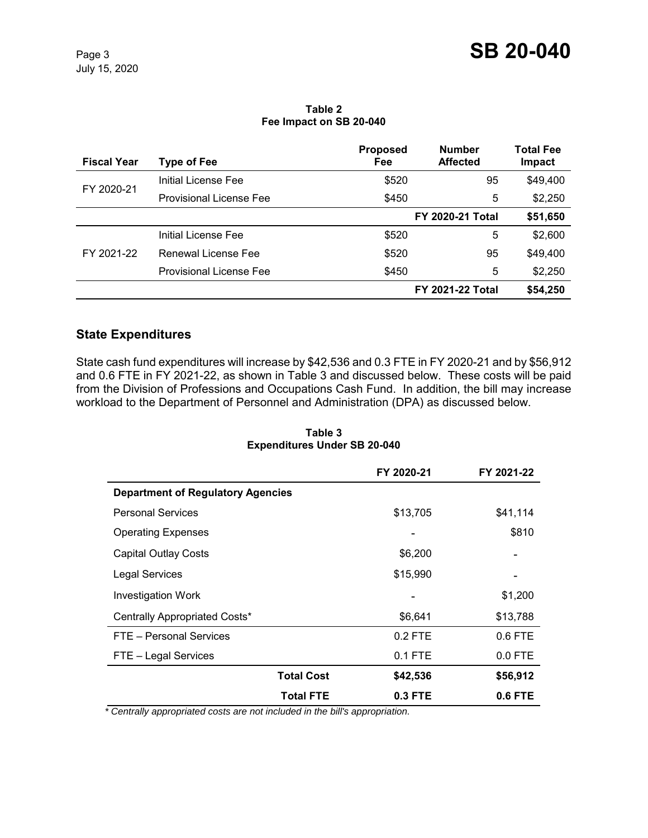**Table 2 Fee Impact on SB 20-040**

| <b>Fiscal Year</b> | Type of Fee                    | <b>Proposed</b><br>Fee  | <b>Number</b><br><b>Affected</b> | <b>Total Fee</b><br>Impact |
|--------------------|--------------------------------|-------------------------|----------------------------------|----------------------------|
| FY 2020-21         | Initial License Fee            | \$520                   | 95                               | \$49,400                   |
|                    | <b>Provisional License Fee</b> | \$450                   | 5                                | \$2,250                    |
|                    |                                | <b>FY 2020-21 Total</b> |                                  | \$51,650                   |
| FY 2021-22         | Initial License Fee            | \$520                   | 5                                | \$2,600                    |
|                    | Renewal License Fee            | \$520                   | 95                               | \$49,400                   |
|                    | Provisional License Fee        | \$450                   | 5                                | \$2,250                    |
|                    |                                | <b>FY 2021-22 Total</b> |                                  | \$54,250                   |

# **State Expenditures**

State cash fund expenditures will increase by \$42,536 and 0.3 FTE in FY 2020-21 and by \$56,912 and 0.6 FTE in FY 2021-22, as shown in Table 3 and discussed below. These costs will be paid from the Division of Professions and Occupations Cash Fund. In addition, the bill may increase workload to the Department of Personnel and Administration (DPA) as discussed below.

|                                          | FY 2020-21 | FY 2021-22 |
|------------------------------------------|------------|------------|
| <b>Department of Regulatory Agencies</b> |            |            |
| <b>Personal Services</b>                 | \$13,705   | \$41,114   |
| <b>Operating Expenses</b>                |            | \$810      |
| <b>Capital Outlay Costs</b>              | \$6,200    |            |
| <b>Legal Services</b>                    | \$15,990   |            |
| <b>Investigation Work</b>                |            | \$1,200    |
| Centrally Appropriated Costs*            | \$6,641    | \$13,788   |
| FTE - Personal Services                  | $0.2$ FTE  | $0.6$ FTE  |
| FTE - Legal Services                     | $0.1$ FTE  | $0.0$ FTE  |
| <b>Total Cost</b>                        | \$42,536   | \$56,912   |
| <b>Total FTE</b>                         | 0.3 FTE    | 0.6 FTE    |

**Table 3 Expenditures Under SB 20-040**

 *\* Centrally appropriated costs are not included in the bill's appropriation.*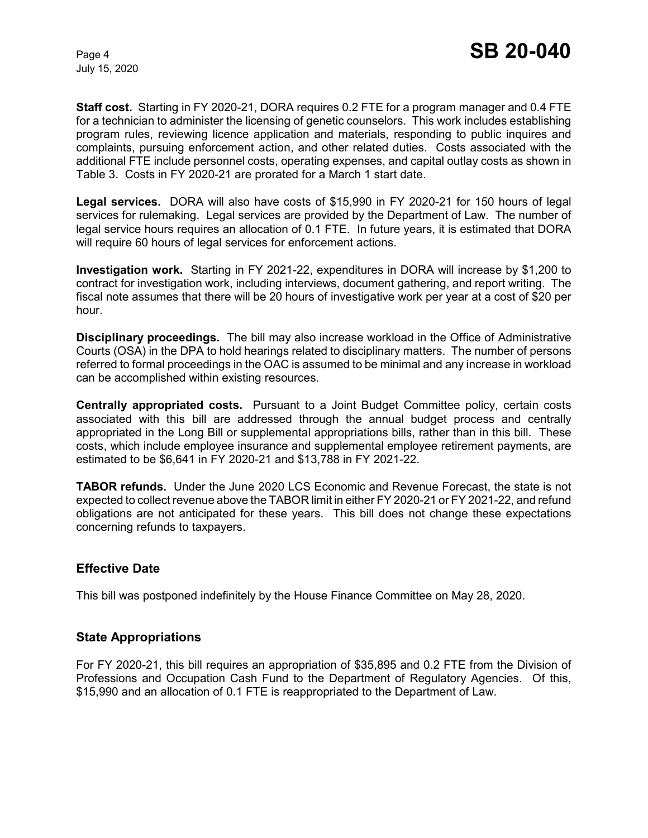July 15, 2020

**Staff cost.** Starting in FY 2020-21, DORA requires 0.2 FTE for a program manager and 0.4 FTE for a technician to administer the licensing of genetic counselors. This work includes establishing program rules, reviewing licence application and materials, responding to public inquires and complaints, pursuing enforcement action, and other related duties. Costs associated with the additional FTE include personnel costs, operating expenses, and capital outlay costs as shown in Table 3. Costs in FY 2020-21 are prorated for a March 1 start date.

**Legal services.** DORA will also have costs of \$15,990 in FY 2020-21 for 150 hours of legal services for rulemaking. Legal services are provided by the Department of Law. The number of legal service hours requires an allocation of 0.1 FTE. In future years, it is estimated that DORA will require 60 hours of legal services for enforcement actions.

**Investigation work.** Starting in FY 2021-22, expenditures in DORA will increase by \$1,200 to contract for investigation work, including interviews, document gathering, and report writing. The fiscal note assumes that there will be 20 hours of investigative work per year at a cost of \$20 per hour.

**Disciplinary proceedings.** The bill may also increase workload in the Office of Administrative Courts (OSA) in the DPA to hold hearings related to disciplinary matters. The number of persons referred to formal proceedings in the OAC is assumed to be minimal and any increase in workload can be accomplished within existing resources.

**Centrally appropriated costs.** Pursuant to a Joint Budget Committee policy, certain costs associated with this bill are addressed through the annual budget process and centrally appropriated in the Long Bill or supplemental appropriations bills, rather than in this bill. These costs, which include employee insurance and supplemental employee retirement payments, are estimated to be \$6,641 in FY 2020-21 and \$13,788 in FY 2021-22.

**TABOR refunds.** Under the June 2020 LCS Economic and Revenue Forecast, the state is not expected to collect revenue above the TABOR limit in either FY 2020-21 or FY 2021-22, and refund obligations are not anticipated for these years. This bill does not change these expectations concerning refunds to taxpayers.

### **Effective Date**

This bill was postponed indefinitely by the House Finance Committee on May 28, 2020.

### **State Appropriations**

For FY 2020-21, this bill requires an appropriation of \$35,895 and 0.2 FTE from the Division of Professions and Occupation Cash Fund to the Department of Regulatory Agencies. Of this, \$15,990 and an allocation of 0.1 FTE is reappropriated to the Department of Law.